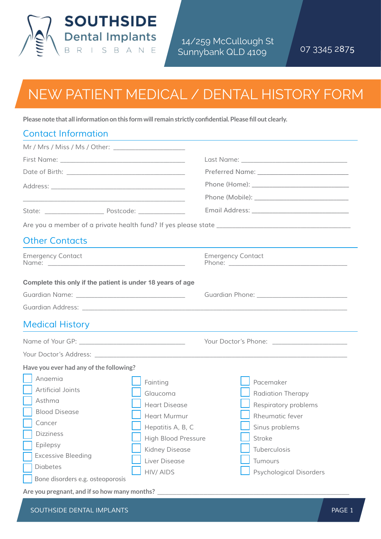

14/259 McCullough St Sunnybank QLD 4109 07 3345 2**8**7**5**

## New Patient Medical / Dental History Form

**Please note that all information on this form will remain strictly confidential. Please fill out clearly.**

| <b>Contact Information</b>                                                                                                                                                                   |                                                                                                                                                                |                                                                                                                                                                    |
|----------------------------------------------------------------------------------------------------------------------------------------------------------------------------------------------|----------------------------------------------------------------------------------------------------------------------------------------------------------------|--------------------------------------------------------------------------------------------------------------------------------------------------------------------|
|                                                                                                                                                                                              |                                                                                                                                                                |                                                                                                                                                                    |
|                                                                                                                                                                                              |                                                                                                                                                                |                                                                                                                                                                    |
|                                                                                                                                                                                              |                                                                                                                                                                |                                                                                                                                                                    |
|                                                                                                                                                                                              |                                                                                                                                                                |                                                                                                                                                                    |
|                                                                                                                                                                                              |                                                                                                                                                                |                                                                                                                                                                    |
|                                                                                                                                                                                              |                                                                                                                                                                |                                                                                                                                                                    |
|                                                                                                                                                                                              |                                                                                                                                                                |                                                                                                                                                                    |
| <b>Other Contacts</b>                                                                                                                                                                        |                                                                                                                                                                | the contract of the contract of the contract of the contract of the contract of the contract of the contract of                                                    |
| <b>Emergency Contact</b>                                                                                                                                                                     |                                                                                                                                                                | <b>Emergency Contact</b>                                                                                                                                           |
| Complete this only if the patient is under 18 years of age                                                                                                                                   |                                                                                                                                                                |                                                                                                                                                                    |
|                                                                                                                                                                                              |                                                                                                                                                                |                                                                                                                                                                    |
|                                                                                                                                                                                              |                                                                                                                                                                |                                                                                                                                                                    |
| <b>Medical History</b>                                                                                                                                                                       |                                                                                                                                                                | and the control of the control of the control of the control of the control of the control of the control of the                                                   |
|                                                                                                                                                                                              |                                                                                                                                                                |                                                                                                                                                                    |
|                                                                                                                                                                                              |                                                                                                                                                                |                                                                                                                                                                    |
| Have you ever had any of the following?                                                                                                                                                      |                                                                                                                                                                |                                                                                                                                                                    |
| Angemig<br>Artificial Joints<br>Asthma<br><b>Blood Disease</b><br>Cancer<br><b>Dizziness</b><br>Epilepsy<br><b>Excessive Bleeding</b><br><b>Diabetes</b><br>Bone disorders e.g. osteoporosis | Fainting<br>Glaucoma<br><b>Heart Disease</b><br>Heart Murmur<br>Hepatitis A, B, C<br><b>High Blood Pressure</b><br>Kidney Disease<br>Liver Disease<br>HIV/AIDS | Pacemaker<br>Radiation Therapy<br>Respiratory problems<br>Rheumatic fever<br>Sinus problems<br>Stroke<br>Tuberculosis<br>Tumours<br><b>Psychological Disorders</b> |
| Are you pregnant, and if so how many months?                                                                                                                                                 |                                                                                                                                                                |                                                                                                                                                                    |